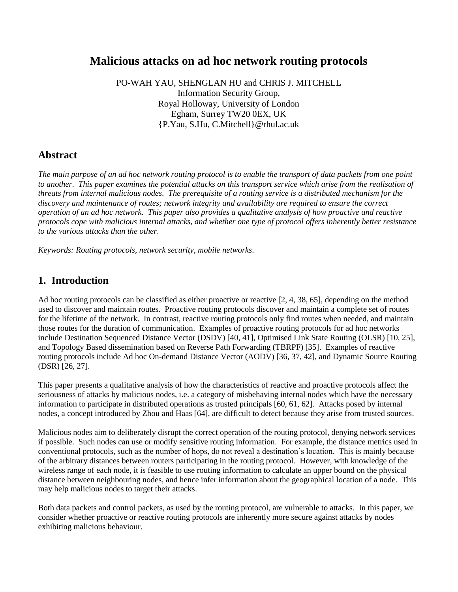# **Malicious attacks on ad hoc network routing protocols**

PO-WAH YAU, SHENGLAN HU and CHRIS J. MITCHELL Information Security Group, Royal Holloway, University of London Egham, Surrey TW20 0EX, UK {P.Yau, S.Hu, C.Mitchell}@rhul.ac.uk

## **Abstract**

*The main purpose of an ad hoc network routing protocol is to enable the transport of data packets from one point to another. This paper examines the potential attacks on this transport service which arise from the realisation of threats from internal malicious nodes. The prerequisite of a routing service is a distributed mechanism for the discovery and maintenance of routes; network integrity and availability are required to ensure the correct operation of an ad hoc network. This paper also provides a qualitative analysis of how proactive and reactive protocols cope with malicious internal attacks, and whether one type of protocol offers inherently better resistance to the various attacks than the other.*

*Keywords: Routing protocols, network security, mobile networks.*

## **1. Introduction**

Ad hoc routing protocols can be classified as either proactive or reactive [2, 4, 38, 65], depending on the method used to discover and maintain routes. Proactive routing protocols discover and maintain a complete set of routes for the lifetime of the network. In contrast, reactive routing protocols only find routes when needed, and maintain those routes for the duration of communication. Examples of proactive routing protocols for ad hoc networks include Destination Sequenced Distance Vector (DSDV) [40, 41], Optimised Link State Routing (OLSR) [10, 25], and Topology Based dissemination based on Reverse Path Forwarding (TBRPF) [35]. Examples of reactive routing protocols include Ad hoc On-demand Distance Vector (AODV) [36, 37, 42], and Dynamic Source Routing (DSR) [26, 27].

This paper presents a qualitative analysis of how the characteristics of reactive and proactive protocols affect the seriousness of attacks by malicious nodes, i.e. a category of misbehaving internal nodes which have the necessary information to participate in distributed operations as trusted principals [60, 61, 62]. Attacks posed by internal nodes, a concept introduced by Zhou and Haas [64], are difficult to detect because they arise from trusted sources.

Malicious nodes aim to deliberately disrupt the correct operation of the routing protocol, denying network services if possible. Such nodes can use or modify sensitive routing information. For example, the distance metrics used in conventional protocols, such as the number of hops, do not reveal a destination's location. This is mainly because of the arbitrary distances between routers participating in the routing protocol. However, with knowledge of the wireless range of each node, it is feasible to use routing information to calculate an upper bound on the physical distance between neighbouring nodes, and hence infer information about the geographical location of a node. This may help malicious nodes to target their attacks.

Both data packets and control packets, as used by the routing protocol, are vulnerable to attacks. In this paper, we consider whether proactive or reactive routing protocols are inherently more secure against attacks by nodes exhibiting malicious behaviour.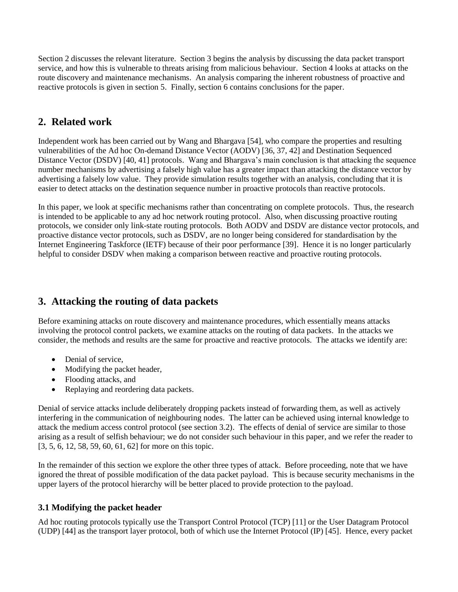Section 2 discusses the relevant literature. Section 3 begins the analysis by discussing the data packet transport service, and how this is vulnerable to threats arising from malicious behaviour. Section 4 looks at attacks on the route discovery and maintenance mechanisms. An analysis comparing the inherent robustness of proactive and reactive protocols is given in section 5. Finally, section 6 contains conclusions for the paper.

# **2. Related work**

Independent work has been carried out by Wang and Bhargava [54], who compare the properties and resulting vulnerabilities of the Ad hoc On-demand Distance Vector (AODV) [36, 37, 42] and Destination Sequenced Distance Vector (DSDV) [40, 41] protocols. Wang and Bhargava's main conclusion is that attacking the sequence number mechanisms by advertising a falsely high value has a greater impact than attacking the distance vector by advertising a falsely low value. They provide simulation results together with an analysis, concluding that it is easier to detect attacks on the destination sequence number in proactive protocols than reactive protocols.

In this paper, we look at specific mechanisms rather than concentrating on complete protocols. Thus, the research is intended to be applicable to any ad hoc network routing protocol. Also, when discussing proactive routing protocols, we consider only link-state routing protocols. Both AODV and DSDV are distance vector protocols, and proactive distance vector protocols, such as DSDV, are no longer being considered for standardisation by the Internet Engineering Taskforce (IETF) because of their poor performance [39]. Hence it is no longer particularly helpful to consider DSDV when making a comparison between reactive and proactive routing protocols.

# **3. Attacking the routing of data packets**

Before examining attacks on route discovery and maintenance procedures, which essentially means attacks involving the protocol control packets, we examine attacks on the routing of data packets. In the attacks we consider, the methods and results are the same for proactive and reactive protocols. The attacks we identify are:

- Denial of service.
- Modifying the packet header,
- Flooding attacks, and
- Replaying and reordering data packets.

Denial of service attacks include deliberately dropping packets instead of forwarding them, as well as actively interfering in the communication of neighbouring nodes. The latter can be achieved using internal knowledge to attack the medium access control protocol (see section 3.2). The effects of denial of service are similar to those arising as a result of selfish behaviour; we do not consider such behaviour in this paper, and we refer the reader to [3, 5, 6, 12, 58, 59, 60, 61, 62] for more on this topic.

In the remainder of this section we explore the other three types of attack. Before proceeding, note that we have ignored the threat of possible modification of the data packet payload. This is because security mechanisms in the upper layers of the protocol hierarchy will be better placed to provide protection to the payload.

## **3.1 Modifying the packet header**

Ad hoc routing protocols typically use the Transport Control Protocol (TCP) [11] or the User Datagram Protocol (UDP) [44] as the transport layer protocol, both of which use the Internet Protocol (IP) [45]. Hence, every packet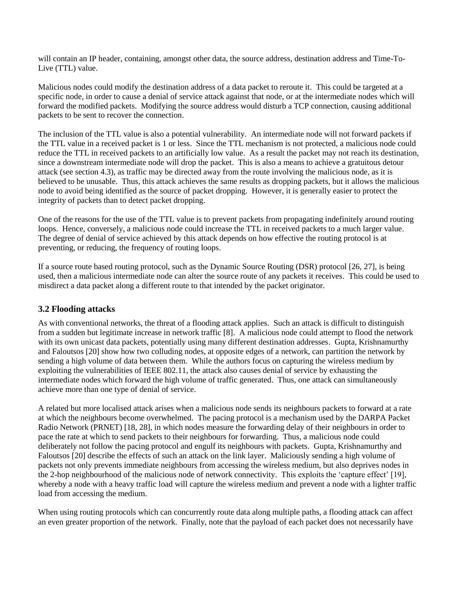will contain an IP header, containing, amongst other data, the source address, destination address and Time-To-Live (TTL) value.

Malicious nodes could modify the destination address of a data packet to reroute it. This could be targeted at a specific node, in order to cause a denial of service attack against that node, or at the intermediate nodes which will forward the modified packets. Modifying the source address would disturb a TCP connection, causing additional packets to be sent to recover the connection.

The inclusion of the TTL value is also a potential vulnerability. An intermediate node will not forward packets if the TTL value in a received packet is 1 or less. Since the TTL mechanism is not protected, a malicious node could reduce the TTL in received packets to an artificially low value. As a result the packet may not reach its destination, since a downstream intermediate node will drop the packet. This is also a means to achieve a gratuitous detour attack (see section 4.3), as traffic may be directed away from the route involving the malicious node, as it is believed to be unusable. Thus, this attack achieves the same results as dropping packets, but it allows the malicious node to avoid being identified as the source of packet dropping. However, it is generally easier to protect the integrity of packets than to detect packet dropping.

One of the reasons for the use of the TTL value is to prevent packets from propagating indefinitely around routing loops. Hence, conversely, a malicious node could increase the TTL in received packets to a much larger value. The degree of denial of service achieved by this attack depends on how effective the routing protocol is at preventing, or reducing, the frequency of routing loops.

If a source route based routing protocol, such as the Dynamic Source Routing (DSR) protocol [26, 27], is being used, then a malicious intermediate node can alter the source route of any packets it receives. This could be used to misdirect a data packet along a different route to that intended by the packet originator.

### **3.2 Flooding attacks**

As with conventional networks, the threat of a flooding attack applies. Such an attack is difficult to distinguish from a sudden but legitimate increase in network traffic [8]. A malicious node could attempt to flood the network with its own unicast data packets, potentially using many different destination addresses. Gupta, Krishnamurthy and Faloutsos [20] show how two colluding nodes, at opposite edges of a network, can partition the network by sending a high volume of data between them. While the authors focus on capturing the wireless medium by exploiting the vulnerabilities of IEEE 802.11, the attack also causes denial of service by exhausting the intermediate nodes which forward the high volume of traffic generated. Thus, one attack can simultaneously achieve more than one type of denial of service.

A related but more localised attack arises when a malicious node sends its neighbours packets to forward at a rate at which the neighbours become overwhelmed. The pacing protocol is a mechanism used by the DARPA Packet Radio Network (PRNET) [18, 28], in which nodes measure the forwarding delay of their neighbours in order to pace the rate at which to send packets to their neighbours for forwarding. Thus, a malicious node could deliberately not follow the pacing protocol and engulf its neighbours with packets. Gupta, Krishnamurthy and Faloutsos [20] describe the effects of such an attack on the link layer. Maliciously sending a high volume of packets not only prevents immediate neighbours from accessing the wireless medium, but also deprives nodes in the 2-hop neighbourhood of the malicious node of network connectivity. This exploits the 'capture effect' [19], whereby a node with a heavy traffic load will capture the wireless medium and prevent a node with a lighter traffic load from accessing the medium.

When using routing protocols which can concurrently route data along multiple paths, a flooding attack can affect an even greater proportion of the network. Finally, note that the payload of each packet does not necessarily have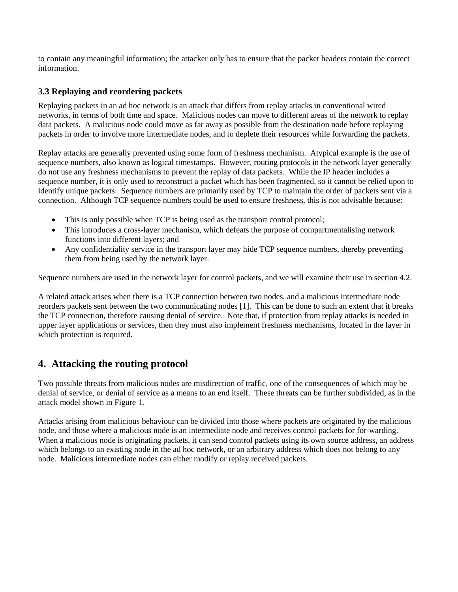to contain any meaningful information; the attacker only has to ensure that the packet headers contain the correct information.

## **3.3 Replaying and reordering packets**

Replaying packets in an ad hoc network is an attack that differs from replay attacks in conventional wired networks, in terms of both time and space. Malicious nodes can move to different areas of the network to replay data packets. A malicious node could move as far away as possible from the destination node before replaying packets in order to involve more intermediate nodes, and to deplete their resources while forwarding the packets.

Replay attacks are generally prevented using some form of freshness mechanism. Atypical example is the use of sequence numbers, also known as logical timestamps. However, routing protocols in the network layer generally do not use any freshness mechanisms to prevent the replay of data packets. While the IP header includes a sequence number, it is only used to reconstruct a packet which has been fragmented, so it cannot be relied upon to identify unique packets. Sequence numbers are primarily used by TCP to maintain the order of packets sent via a connection. Although TCP sequence numbers could be used to ensure freshness, this is not advisable because:

- This is only possible when TCP is being used as the transport control protocol;
- This introduces a cross-layer mechanism, which defeats the purpose of compartmentalising network functions into different layers; and
- Any confidentiality service in the transport layer may hide TCP sequence numbers, thereby preventing them from being used by the network layer.

Sequence numbers are used in the network layer for control packets, and we will examine their use in section 4.2.

A related attack arises when there is a TCP connection between two nodes, and a malicious intermediate node reorders packets sent between the two communicating nodes [1]. This can be done to such an extent that it breaks the TCP connection, therefore causing denial of service. Note that, if protection from replay attacks is needed in upper layer applications or services, then they must also implement freshness mechanisms, located in the layer in which protection is required.

# **4. Attacking the routing protocol**

Two possible threats from malicious nodes are misdirection of traffic, one of the consequences of which may be denial of service, or denial of service as a means to an end itself. These threats can be further subdivided, as in the attack model shown in Figure 1.

Attacks arising from malicious behaviour can be divided into those where packets are originated by the malicious node, and those where a malicious node is an intermediate node and receives control packets for for-warding. When a malicious node is originating packets, it can send control packets using its own source address, an address which belongs to an existing node in the ad hoc network, or an arbitrary address which does not belong to any node. Malicious intermediate nodes can either modify or replay received packets.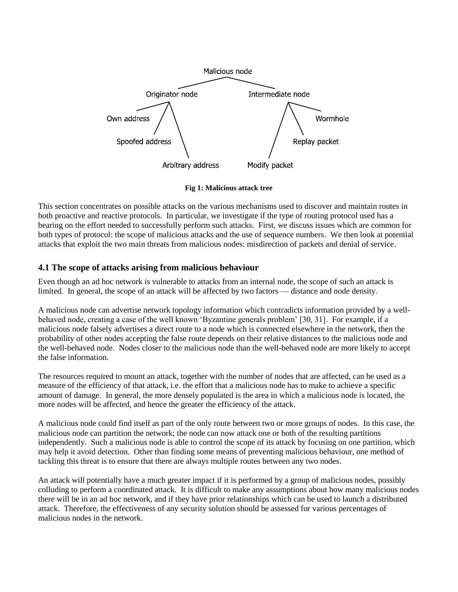

**Fig 1: Malicious attack tree**

This section concentrates on possible attacks on the various mechanisms used to discover and maintain routes in both proactive and reactive protocols. In particular, we investigate if the type of routing protocol used has a bearing on the effort needed to successfully perform such attacks. First, we discuss issues which are common for both types of protocol: the scope of malicious attacks and the use of sequence numbers. We then look at potential attacks that exploit the two main threats from malicious nodes: misdirection of packets and denial of service.

## **4.1 The scope of attacks arising from malicious behaviour**

Even though an ad hoc network is vulnerable to attacks from an internal node, the scope of such an attack is limited. In general, the scope of an attack will be affected by two factors — distance and node density.

A malicious node can advertise network topology information which contradicts information provided by a wellbehaved node, creating a case of the well known 'Byzantine generals problem' [30, 31]. For example, if a malicious node falsely advertises a direct route to a node which is connected elsewhere in the network, then the probability of other nodes accepting the false route depends on their relative distances to the malicious node and the well-behaved node. Nodes closer to the malicious node than the well-behaved node are more likely to accept the false information.

The resources required to mount an attack, together with the number of nodes that are affected, can be used as a measure of the efficiency of that attack, i.e. the effort that a malicious node has to make to achieve a specific amount of damage. In general, the more densely populated is the area in which a malicious node is located, the more nodes will be affected, and hence the greater the efficiency of the attack.

A malicious node could find itself as part of the only route between two or more groups of nodes. In this case, the malicious node can partition the network; the node can now attack one or both of the resulting partitions independently. Such a malicious node is able to control the scope of its attack by focusing on one partition, which may help it avoid detection. Other than finding some means of preventing malicious behaviour, one method of tackling this threat is to ensure that there are always multiple routes between any two nodes.

An attack will potentially have a much greater impact if it is performed by a group of malicious nodes, possibly colluding to perform a coordinated attack. It is difficult to make any assumptions about how many malicious nodes there will be in an ad hoc network, and if they have prior relationships which can be used to launch a distributed attack. Therefore, the effectiveness of any security solution should be assessed for various percentages of malicious nodes in the network.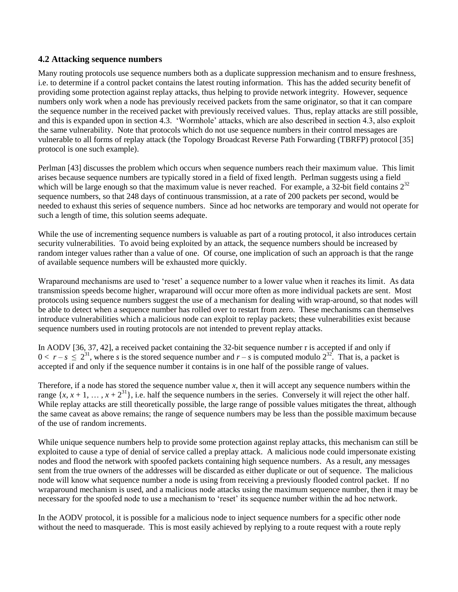#### **4.2 Attacking sequence numbers**

Many routing protocols use sequence numbers both as a duplicate suppression mechanism and to ensure freshness, i.e. to determine if a control packet contains the latest routing information. This has the added security benefit of providing some protection against replay attacks, thus helping to provide network integrity. However, sequence numbers only work when a node has previously received packets from the same originator, so that it can compare the sequence number in the received packet with previously received values. Thus, replay attacks are still possible, and this is expanded upon in section 4.3. 'Wormhole' attacks, which are also described in section 4.3, also exploit the same vulnerability. Note that protocols which do not use sequence numbers in their control messages are vulnerable to all forms of replay attack (the Topology Broadcast Reverse Path Forwarding (TBRFP) protocol [35] protocol is one such example).

Perlman [43] discusses the problem which occurs when sequence numbers reach their maximum value. This limit arises because sequence numbers are typically stored in a field of fixed length. Perlman suggests using a field which will be large enough so that the maximum value is never reached. For example, a  $32$ -bit field contains  $2^{32}$ sequence numbers, so that 248 days of continuous transmission, at a rate of 200 packets per second, would be needed to exhaust this series of sequence numbers. Since ad hoc networks are temporary and would not operate for such a length of time, this solution seems adequate.

While the use of incrementing sequence numbers is valuable as part of a routing protocol, it also introduces certain security vulnerabilities. To avoid being exploited by an attack, the sequence numbers should be increased by random integer values rather than a value of one. Of course, one implication of such an approach is that the range of available sequence numbers will be exhausted more quickly.

Wraparound mechanisms are used to 'reset' a sequence number to a lower value when it reaches its limit. As data transmission speeds become higher, wraparound will occur more often as more individual packets are sent. Most protocols using sequence numbers suggest the use of a mechanism for dealing with wrap-around, so that nodes will be able to detect when a sequence number has rolled over to restart from zero. These mechanisms can themselves introduce vulnerabilities which a malicious node can exploit to replay packets; these vulnerabilities exist because sequence numbers used in routing protocols are not intended to prevent replay attacks.

In AODV [36, 37, 42], a received packet containing the 32-bit sequence number r is accepted if and only if  $0 < r - s \le 2^{31}$ , where *s* is the stored sequence number and  $r - s$  is computed modulo  $2^{32}$ . That is, a packet is accepted if and only if the sequence number it contains is in one half of the possible range of values.

Therefore, if a node has stored the sequence number value *x*, then it will accept any sequence numbers within the range  $\{x, x+1, \ldots, x+2^{31}\}$ , i.e. half the sequence numbers in the series. Conversely it will reject the other half. While replay attacks are still theoretically possible, the large range of possible values mitigates the threat, although the same caveat as above remains; the range of sequence numbers may be less than the possible maximum because of the use of random increments.

While unique sequence numbers help to provide some protection against replay attacks, this mechanism can still be exploited to cause a type of denial of service called a preplay attack. A malicious node could impersonate existing nodes and flood the network with spoofed packets containing high sequence numbers. As a result, any messages sent from the true owners of the addresses will be discarded as either duplicate or out of sequence. The malicious node will know what sequence number a node is using from receiving a previously flooded control packet. If no wraparound mechanism is used, and a malicious node attacks using the maximum sequence number, then it may be necessary for the spoofed node to use a mechanism to 'reset' its sequence number within the ad hoc network.

In the AODV protocol, it is possible for a malicious node to inject sequence numbers for a specific other node without the need to masquerade. This is most easily achieved by replying to a route request with a route reply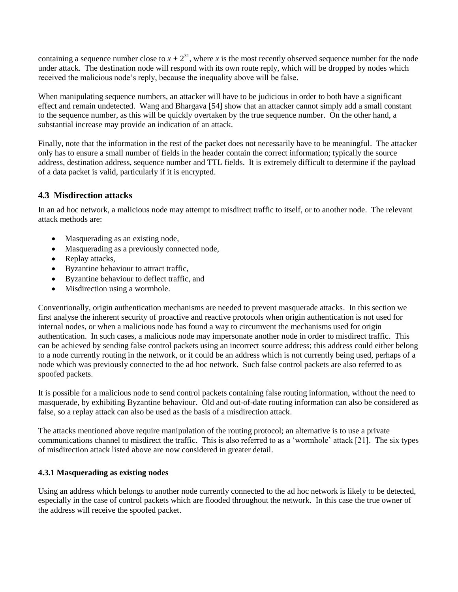containing a sequence number close to  $x + 2^{31}$ , where *x* is the most recently observed sequence number for the node under attack. The destination node will respond with its own route reply, which will be dropped by nodes which received the malicious node's reply, because the inequality above will be false.

When manipulating sequence numbers, an attacker will have to be judicious in order to both have a significant effect and remain undetected. Wang and Bhargava [54] show that an attacker cannot simply add a small constant to the sequence number, as this will be quickly overtaken by the true sequence number. On the other hand, a substantial increase may provide an indication of an attack.

Finally, note that the information in the rest of the packet does not necessarily have to be meaningful. The attacker only has to ensure a small number of fields in the header contain the correct information; typically the source address, destination address, sequence number and TTL fields. It is extremely difficult to determine if the payload of a data packet is valid, particularly if it is encrypted.

### **4.3 Misdirection attacks**

In an ad hoc network, a malicious node may attempt to misdirect traffic to itself, or to another node. The relevant attack methods are:

- Masquerading as an existing node,
- Masquerading as a previously connected node,
- Replay attacks,
- Byzantine behaviour to attract traffic,
- Byzantine behaviour to deflect traffic, and
- Misdirection using a wormhole.

Conventionally, origin authentication mechanisms are needed to prevent masquerade attacks. In this section we first analyse the inherent security of proactive and reactive protocols when origin authentication is not used for internal nodes, or when a malicious node has found a way to circumvent the mechanisms used for origin authentication. In such cases, a malicious node may impersonate another node in order to misdirect traffic. This can be achieved by sending false control packets using an incorrect source address; this address could either belong to a node currently routing in the network, or it could be an address which is not currently being used, perhaps of a node which was previously connected to the ad hoc network. Such false control packets are also referred to as spoofed packets.

It is possible for a malicious node to send control packets containing false routing information, without the need to masquerade, by exhibiting Byzantine behaviour. Old and out-of-date routing information can also be considered as false, so a replay attack can also be used as the basis of a misdirection attack.

The attacks mentioned above require manipulation of the routing protocol; an alternative is to use a private communications channel to misdirect the traffic. This is also referred to as a 'wormhole' attack [21]. The six types of misdirection attack listed above are now considered in greater detail.

#### **4.3.1 Masquerading as existing nodes**

Using an address which belongs to another node currently connected to the ad hoc network is likely to be detected, especially in the case of control packets which are flooded throughout the network. In this case the true owner of the address will receive the spoofed packet.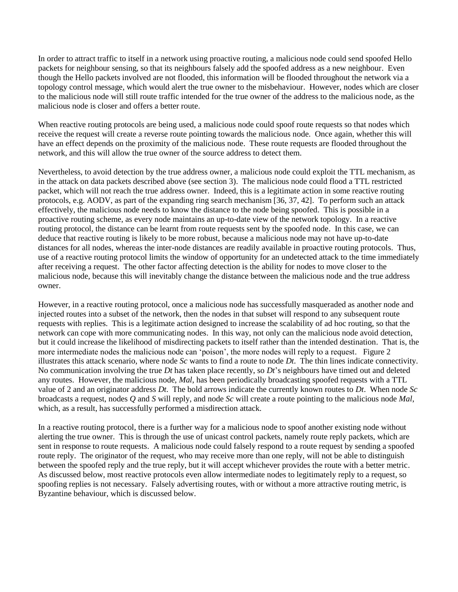In order to attract traffic to itself in a network using proactive routing, a malicious node could send spoofed Hello packets for neighbour sensing, so that its neighbours falsely add the spoofed address as a new neighbour. Even though the Hello packets involved are not flooded, this information will be flooded throughout the network via a topology control message, which would alert the true owner to the misbehaviour. However, nodes which are closer to the malicious node will still route traffic intended for the true owner of the address to the malicious node, as the malicious node is closer and offers a better route.

When reactive routing protocols are being used, a malicious node could spoof route requests so that nodes which receive the request will create a reverse route pointing towards the malicious node. Once again, whether this will have an effect depends on the proximity of the malicious node. These route requests are flooded throughout the network, and this will allow the true owner of the source address to detect them.

Nevertheless, to avoid detection by the true address owner, a malicious node could exploit the TTL mechanism, as in the attack on data packets described above (see section 3). The malicious node could flood a TTL restricted packet, which will not reach the true address owner. Indeed, this is a legitimate action in some reactive routing protocols, e.g. AODV, as part of the expanding ring search mechanism [36, 37, 42]. To perform such an attack effectively, the malicious node needs to know the distance to the node being spoofed. This is possible in a proactive routing scheme, as every node maintains an up-to-date view of the network topology. In a reactive routing protocol, the distance can be learnt from route requests sent by the spoofed node. In this case, we can deduce that reactive routing is likely to be more robust, because a malicious node may not have up-to-date distances for all nodes, whereas the inter-node distances are readily available in proactive routing protocols. Thus, use of a reactive routing protocol limits the window of opportunity for an undetected attack to the time immediately after receiving a request. The other factor affecting detection is the ability for nodes to move closer to the malicious node, because this will inevitably change the distance between the malicious node and the true address owner.

However, in a reactive routing protocol, once a malicious node has successfully masqueraded as another node and injected routes into a subset of the network, then the nodes in that subset will respond to any subsequent route requests with replies. This is a legitimate action designed to increase the scalability of ad hoc routing, so that the network can cope with more communicating nodes. In this way, not only can the malicious node avoid detection, but it could increase the likelihood of misdirecting packets to itself rather than the intended destination. That is, the more intermediate nodes the malicious node can 'poison', the more nodes will reply to a request. Figure 2 illustrates this attack scenario, where node *Sc* wants to find a route to node *Dt*. The thin lines indicate connectivity. No communication involving the true *Dt* has taken place recently, so *Dt*'s neighbours have timed out and deleted any routes. However, the malicious node, *Mal*, has been periodically broadcasting spoofed requests with a TTL value of 2 and an originator address *Dt*. The bold arrows indicate the currently known routes to *Dt*. When node *Sc* broadcasts a request, nodes *Q* and *S* will reply, and node *Sc* will create a route pointing to the malicious node *Mal*, which, as a result, has successfully performed a misdirection attack.

In a reactive routing protocol, there is a further way for a malicious node to spoof another existing node without alerting the true owner. This is through the use of unicast control packets, namely route reply packets, which are sent in response to route requests. A malicious node could falsely respond to a route request by sending a spoofed route reply. The originator of the request, who may receive more than one reply, will not be able to distinguish between the spoofed reply and the true reply, but it will accept whichever provides the route with a better metric. As discussed below, most reactive protocols even allow intermediate nodes to legitimately reply to a request, so spoofing replies is not necessary. Falsely advertising routes, with or without a more attractive routing metric, is Byzantine behaviour, which is discussed below.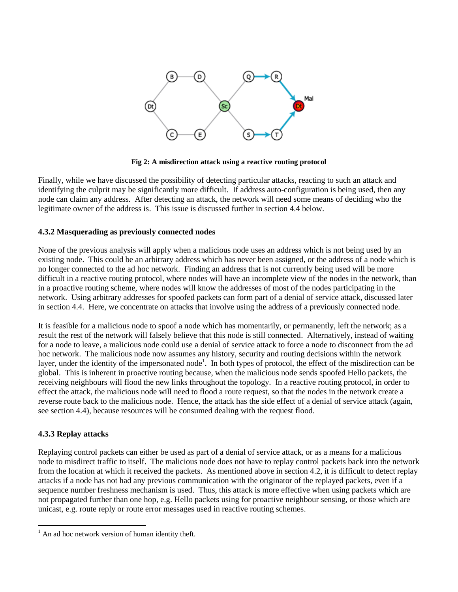

**Fig 2: A misdirection attack using a reactive routing protocol**

Finally, while we have discussed the possibility of detecting particular attacks, reacting to such an attack and identifying the culprit may be significantly more difficult. If address auto-configuration is being used, then any node can claim any address. After detecting an attack, the network will need some means of deciding who the legitimate owner of the address is. This issue is discussed further in section 4.4 below.

#### **4.3.2 Masquerading as previously connected nodes**

None of the previous analysis will apply when a malicious node uses an address which is not being used by an existing node. This could be an arbitrary address which has never been assigned, or the address of a node which is no longer connected to the ad hoc network. Finding an address that is not currently being used will be more difficult in a reactive routing protocol, where nodes will have an incomplete view of the nodes in the network, than in a proactive routing scheme, where nodes will know the addresses of most of the nodes participating in the network. Using arbitrary addresses for spoofed packets can form part of a denial of service attack, discussed later in section 4.4. Here, we concentrate on attacks that involve using the address of a previously connected node.

It is feasible for a malicious node to spoof a node which has momentarily, or permanently, left the network; as a result the rest of the network will falsely believe that this node is still connected. Alternatively, instead of waiting for a node to leave, a malicious node could use a denial of service attack to force a node to disconnect from the ad hoc network. The malicious node now assumes any history, security and routing decisions within the network layer, under the identity of the impersonated node<sup>1</sup>. In both types of protocol, the effect of the misdirection can be global. This is inherent in proactive routing because, when the malicious node sends spoofed Hello packets, the receiving neighbours will flood the new links throughout the topology. In a reactive routing protocol, in order to effect the attack, the malicious node will need to flood a route request, so that the nodes in the network create a reverse route back to the malicious node. Hence, the attack has the side effect of a denial of service attack (again, see section 4.4), because resources will be consumed dealing with the request flood.

#### **4.3.3 Replay attacks**

 $\overline{a}$ 

Replaying control packets can either be used as part of a denial of service attack, or as a means for a malicious node to misdirect traffic to itself. The malicious node does not have to replay control packets back into the network from the location at which it received the packets. As mentioned above in section 4.2, it is difficult to detect replay attacks if a node has not had any previous communication with the originator of the replayed packets, even if a sequence number freshness mechanism is used. Thus, this attack is more effective when using packets which are not propagated further than one hop, e.g. Hello packets using for proactive neighbour sensing, or those which are unicast, e.g. route reply or route error messages used in reactive routing schemes.

 $<sup>1</sup>$  An ad hoc network version of human identity theft.</sup>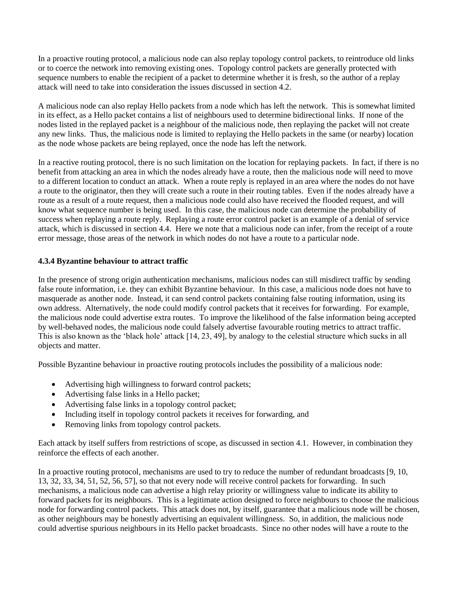In a proactive routing protocol, a malicious node can also replay topology control packets, to reintroduce old links or to coerce the network into removing existing ones. Topology control packets are generally protected with sequence numbers to enable the recipient of a packet to determine whether it is fresh, so the author of a replay attack will need to take into consideration the issues discussed in section 4.2.

A malicious node can also replay Hello packets from a node which has left the network. This is somewhat limited in its effect, as a Hello packet contains a list of neighbours used to determine bidirectional links. If none of the nodes listed in the replayed packet is a neighbour of the malicious node, then replaying the packet will not create any new links. Thus, the malicious node is limited to replaying the Hello packets in the same (or nearby) location as the node whose packets are being replayed, once the node has left the network.

In a reactive routing protocol, there is no such limitation on the location for replaying packets. In fact, if there is no benefit from attacking an area in which the nodes already have a route, then the malicious node will need to move to a different location to conduct an attack. When a route reply is replayed in an area where the nodes do not have a route to the originator, then they will create such a route in their routing tables. Even if the nodes already have a route as a result of a route request, then a malicious node could also have received the flooded request, and will know what sequence number is being used. In this case, the malicious node can determine the probability of success when replaying a route reply. Replaying a route error control packet is an example of a denial of service attack, which is discussed in section 4.4. Here we note that a malicious node can infer, from the receipt of a route error message, those areas of the network in which nodes do not have a route to a particular node.

### **4.3.4 Byzantine behaviour to attract traffic**

In the presence of strong origin authentication mechanisms, malicious nodes can still misdirect traffic by sending false route information, i.e. they can exhibit Byzantine behaviour. In this case, a malicious node does not have to masquerade as another node. Instead, it can send control packets containing false routing information, using its own address. Alternatively, the node could modify control packets that it receives for forwarding. For example, the malicious node could advertise extra routes. To improve the likelihood of the false information being accepted by well-behaved nodes, the malicious node could falsely advertise favourable routing metrics to attract traffic. This is also known as the 'black hole' attack [14, 23, 49], by analogy to the celestial structure which sucks in all objects and matter.

Possible Byzantine behaviour in proactive routing protocols includes the possibility of a malicious node:

- Advertising high willingness to forward control packets;
- Advertising false links in a Hello packet;
- Advertising false links in a topology control packet;
- Including itself in topology control packets it receives for forwarding, and
- Removing links from topology control packets.

Each attack by itself suffers from restrictions of scope, as discussed in section 4.1. However, in combination they reinforce the effects of each another.

In a proactive routing protocol, mechanisms are used to try to reduce the number of redundant broadcasts [9, 10, 13, 32, 33, 34, 51, 52, 56, 57], so that not every node will receive control packets for forwarding. In such mechanisms, a malicious node can advertise a high relay priority or willingness value to indicate its ability to forward packets for its neighbours. This is a legitimate action designed to force neighbours to choose the malicious node for forwarding control packets. This attack does not, by itself, guarantee that a malicious node will be chosen, as other neighbours may be honestly advertising an equivalent willingness. So, in addition, the malicious node could advertise spurious neighbours in its Hello packet broadcasts. Since no other nodes will have a route to the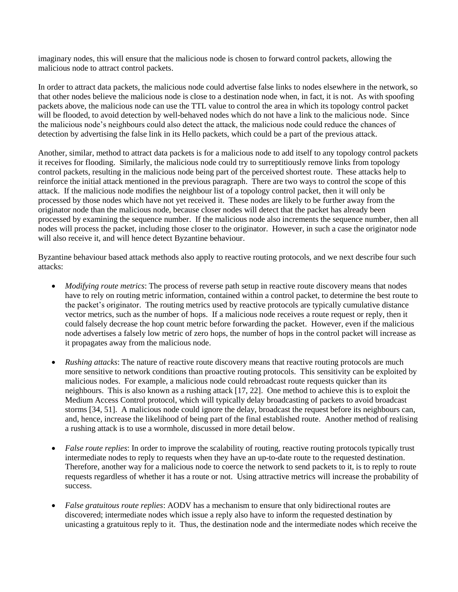imaginary nodes, this will ensure that the malicious node is chosen to forward control packets, allowing the malicious node to attract control packets.

In order to attract data packets, the malicious node could advertise false links to nodes elsewhere in the network, so that other nodes believe the malicious node is close to a destination node when, in fact, it is not. As with spoofing packets above, the malicious node can use the TTL value to control the area in which its topology control packet will be flooded, to avoid detection by well-behaved nodes which do not have a link to the malicious node. Since the malicious node's neighbours could also detect the attack, the malicious node could reduce the chances of detection by advertising the false link in its Hello packets, which could be a part of the previous attack.

Another, similar, method to attract data packets is for a malicious node to add itself to any topology control packets it receives for flooding. Similarly, the malicious node could try to surreptitiously remove links from topology control packets, resulting in the malicious node being part of the perceived shortest route. These attacks help to reinforce the initial attack mentioned in the previous paragraph. There are two ways to control the scope of this attack. If the malicious node modifies the neighbour list of a topology control packet, then it will only be processed by those nodes which have not yet received it. These nodes are likely to be further away from the originator node than the malicious node, because closer nodes will detect that the packet has already been processed by examining the sequence number. If the malicious node also increments the sequence number, then all nodes will process the packet, including those closer to the originator. However, in such a case the originator node will also receive it, and will hence detect Byzantine behaviour.

Byzantine behaviour based attack methods also apply to reactive routing protocols, and we next describe four such attacks:

- *Modifying route metrics*: The process of reverse path setup in reactive route discovery means that nodes have to rely on routing metric information, contained within a control packet, to determine the best route to the packet's originator. The routing metrics used by reactive protocols are typically cumulative distance vector metrics, such as the number of hops. If a malicious node receives a route request or reply, then it could falsely decrease the hop count metric before forwarding the packet. However, even if the malicious node advertises a falsely low metric of zero hops, the number of hops in the control packet will increase as it propagates away from the malicious node.
- *Rushing attacks*: The nature of reactive route discovery means that reactive routing protocols are much more sensitive to network conditions than proactive routing protocols. This sensitivity can be exploited by malicious nodes. For example, a malicious node could rebroadcast route requests quicker than its neighbours. This is also known as a rushing attack [17, 22]. One method to achieve this is to exploit the Medium Access Control protocol, which will typically delay broadcasting of packets to avoid broadcast storms [34, 51]. A malicious node could ignore the delay, broadcast the request before its neighbours can, and, hence, increase the likelihood of being part of the final established route. Another method of realising a rushing attack is to use a wormhole, discussed in more detail below.
- *False route replies*: In order to improve the scalability of routing, reactive routing protocols typically trust intermediate nodes to reply to requests when they have an up-to-date route to the requested destination. Therefore, another way for a malicious node to coerce the network to send packets to it, is to reply to route requests regardless of whether it has a route or not. Using attractive metrics will increase the probability of success.
- *False gratuitous route replies*: AODV has a mechanism to ensure that only bidirectional routes are discovered; intermediate nodes which issue a reply also have to inform the requested destination by unicasting a gratuitous reply to it. Thus, the destination node and the intermediate nodes which receive the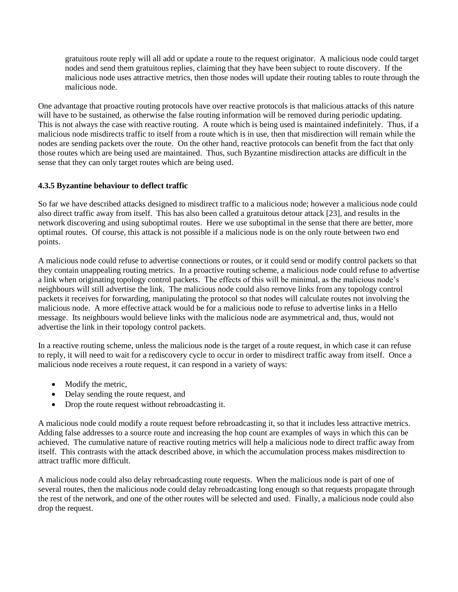gratuitous route reply will all add or update a route to the request originator. A malicious node could target nodes and send them gratuitous replies, claiming that they have been subject to route discovery. If the malicious node uses attractive metrics, then those nodes will update their routing tables to route through the malicious node.

One advantage that proactive routing protocols have over reactive protocols is that malicious attacks of this nature will have to be sustained, as otherwise the false routing information will be removed during periodic updating. This is not always the case with reactive routing. A route which is being used is maintained indefinitely. Thus, if a malicious node misdirects traffic to itself from a route which is in use, then that misdirection will remain while the nodes are sending packets over the route. On the other hand, reactive protocols can benefit from the fact that only those routes which are being used are maintained. Thus, such Byzantine misdirection attacks are difficult in the sense that they can only target routes which are being used.

### **4.3.5 Byzantine behaviour to deflect traffic**

So far we have described attacks designed to misdirect traffic to a malicious node; however a malicious node could also direct traffic away from itself. This has also been called a gratuitous detour attack [23], and results in the network discovering and using suboptimal routes. Here we use suboptimal in the sense that there are better, more optimal routes. Of course, this attack is not possible if a malicious node is on the only route between two end points.

A malicious node could refuse to advertise connections or routes, or it could send or modify control packets so that they contain unappealing routing metrics. In a proactive routing scheme, a malicious node could refuse to advertise a link when originating topology control packets. The effects of this will be minimal, as the malicious node's neighbours will still advertise the link. The malicious node could also remove links from any topology control packets it receives for forwarding, manipulating the protocol so that nodes will calculate routes not involving the malicious node. A more effective attack would be for a malicious node to refuse to advertise links in a Hello message. Its neighbours would believe links with the malicious node are asymmetrical and, thus, would not advertise the link in their topology control packets.

In a reactive routing scheme, unless the malicious node is the target of a route request, in which case it can refuse to reply, it will need to wait for a rediscovery cycle to occur in order to misdirect traffic away from itself. Once a malicious node receives a route request, it can respond in a variety of ways:

- Modify the metric,
- Delay sending the route request, and
- Drop the route request without rebroadcasting it.

A malicious node could modify a route request before rebroadcasting it, so that it includes less attractive metrics. Adding false addresses to a source route and increasing the hop count are examples of ways in which this can be achieved. The cumulative nature of reactive routing metrics will help a malicious node to direct traffic away from itself. This contrasts with the attack described above, in which the accumulation process makes misdirection to attract traffic more difficult.

A malicious node could also delay rebroadcasting route requests. When the malicious node is part of one of several routes, then the malicious node could delay rebroadcasting long enough so that requests propagate through the rest of the network, and one of the other routes will be selected and used. Finally, a malicious node could also drop the request.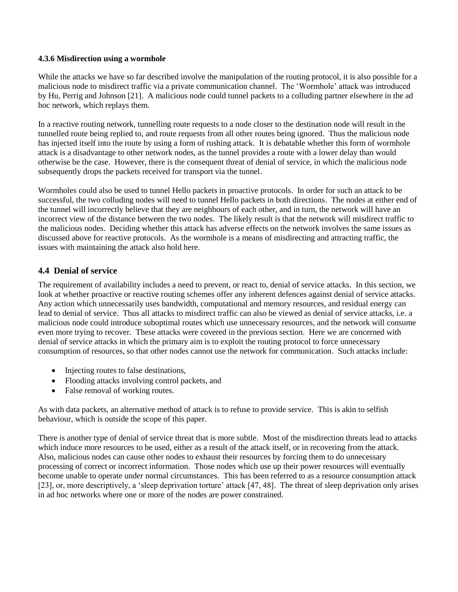#### **4.3.6 Misdirection using a wormhole**

While the attacks we have so far described involve the manipulation of the routing protocol, it is also possible for a malicious node to misdirect traffic via a private communication channel. The 'Wormhole' attack was introduced by Hu, Perrig and Johnson [21]. A malicious node could tunnel packets to a colluding partner elsewhere in the ad hoc network, which replays them.

In a reactive routing network, tunnelling route requests to a node closer to the destination node will result in the tunnelled route being replied to, and route requests from all other routes being ignored. Thus the malicious node has injected itself into the route by using a form of rushing attack. It is debatable whether this form of wormhole attack is a disadvantage to other network nodes, as the tunnel provides a route with a lower delay than would otherwise be the case. However, there is the consequent threat of denial of service, in which the malicious node subsequently drops the packets received for transport via the tunnel.

Wormholes could also be used to tunnel Hello packets in proactive protocols. In order for such an attack to be successful, the two colluding nodes will need to tunnel Hello packets in both directions. The nodes at either end of the tunnel will incorrectly believe that they are neighbours of each other, and in turn, the network will have an incorrect view of the distance between the two nodes. The likely result is that the network will misdirect traffic to the malicious nodes. Deciding whether this attack has adverse effects on the network involves the same issues as discussed above for reactive protocols. As the wormhole is a means of misdirecting and attracting traffic, the issues with maintaining the attack also hold here.

### **4.4 Denial of service**

The requirement of availability includes a need to prevent, or react to, denial of service attacks. In this section, we look at whether proactive or reactive routing schemes offer any inherent defences against denial of service attacks. Any action which unnecessarily uses bandwidth, computational and memory resources, and residual energy can lead to denial of service. Thus all attacks to misdirect traffic can also be viewed as denial of service attacks, i.e. a malicious node could introduce suboptimal routes which use unnecessary resources, and the network will consume even more trying to recover. These attacks were covered in the previous section. Here we are concerned with denial of service attacks in which the primary aim is to exploit the routing protocol to force unnecessary consumption of resources, so that other nodes cannot use the network for communication. Such attacks include:

- Injecting routes to false destinations,
- Flooding attacks involving control packets, and
- False removal of working routes.

As with data packets, an alternative method of attack is to refuse to provide service. This is akin to selfish behaviour, which is outside the scope of this paper.

There is another type of denial of service threat that is more subtle. Most of the misdirection threats lead to attacks which induce more resources to be used, either as a result of the attack itself, or in recovering from the attack. Also, malicious nodes can cause other nodes to exhaust their resources by forcing them to do unnecessary processing of correct or incorrect information. Those nodes which use up their power resources will eventually become unable to operate under normal circumstances. This has been referred to as a resource consumption attack [23], or, more descriptively, a 'sleep deprivation torture' attack [47, 48]. The threat of sleep deprivation only arises in ad hoc networks where one or more of the nodes are power constrained.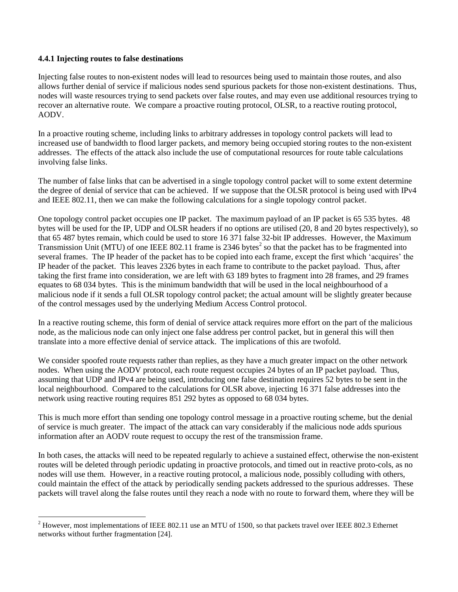#### **4.4.1 Injecting routes to false destinations**

 $\overline{a}$ 

Injecting false routes to non-existent nodes will lead to resources being used to maintain those routes, and also allows further denial of service if malicious nodes send spurious packets for those non-existent destinations. Thus, nodes will waste resources trying to send packets over false routes, and may even use additional resources trying to recover an alternative route. We compare a proactive routing protocol, OLSR, to a reactive routing protocol, AODV.

In a proactive routing scheme, including links to arbitrary addresses in topology control packets will lead to increased use of bandwidth to flood larger packets, and memory being occupied storing routes to the non-existent addresses. The effects of the attack also include the use of computational resources for route table calculations involving false links.

The number of false links that can be advertised in a single topology control packet will to some extent determine the degree of denial of service that can be achieved. If we suppose that the OLSR protocol is being used with IPv4 and IEEE 802.11, then we can make the following calculations for a single topology control packet.

One topology control packet occupies one IP packet. The maximum payload of an IP packet is 65 535 bytes. 48 bytes will be used for the IP, UDP and OLSR headers if no options are utilised (20, 8 and 20 bytes respectively), so that 65 487 bytes remain, which could be used to store 16 371 false 32-bit IP addresses. However, the Maximum Transmission Unit (MTU) of one IEEE 802.11 frame is 2346 bytes<sup>2</sup> so that the packet has to be fragmented into several frames. The IP header of the packet has to be copied into each frame, except the first which 'acquires' the IP header of the packet. This leaves 2326 bytes in each frame to contribute to the packet payload. Thus, after taking the first frame into consideration, we are left with 63 189 bytes to fragment into 28 frames, and 29 frames equates to 68 034 bytes. This is the minimum bandwidth that will be used in the local neighbourhood of a malicious node if it sends a full OLSR topology control packet; the actual amount will be slightly greater because of the control messages used by the underlying Medium Access Control protocol.

In a reactive routing scheme, this form of denial of service attack requires more effort on the part of the malicious node, as the malicious node can only inject one false address per control packet, but in general this will then translate into a more effective denial of service attack. The implications of this are twofold.

We consider spoofed route requests rather than replies, as they have a much greater impact on the other network nodes. When using the AODV protocol, each route request occupies 24 bytes of an IP packet payload. Thus, assuming that UDP and IPv4 are being used, introducing one false destination requires 52 bytes to be sent in the local neighbourhood. Compared to the calculations for OLSR above, injecting 16 371 false addresses into the network using reactive routing requires 851 292 bytes as opposed to 68 034 bytes.

This is much more effort than sending one topology control message in a proactive routing scheme, but the denial of service is much greater. The impact of the attack can vary considerably if the malicious node adds spurious information after an AODV route request to occupy the rest of the transmission frame.

In both cases, the attacks will need to be repeated regularly to achieve a sustained effect, otherwise the non-existent routes will be deleted through periodic updating in proactive protocols, and timed out in reactive proto-cols, as no nodes will use them. However, in a reactive routing protocol, a malicious node, possibly colluding with others, could maintain the effect of the attack by periodically sending packets addressed to the spurious addresses. These packets will travel along the false routes until they reach a node with no route to forward them, where they will be

 $2$  However, most implementations of IEEE 802.11 use an MTU of 1500, so that packets travel over IEEE 802.3 Ethernet networks without further fragmentation [24].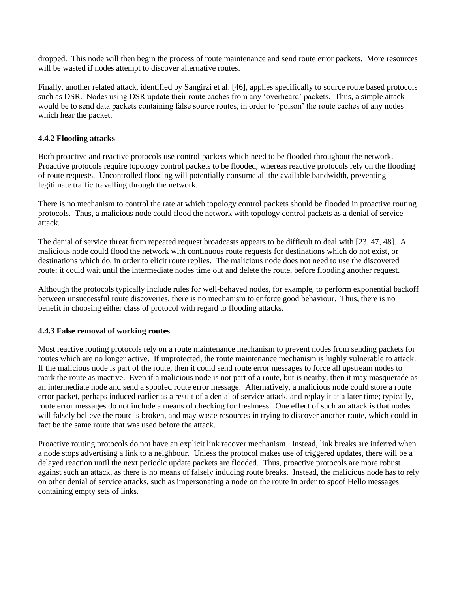dropped. This node will then begin the process of route maintenance and send route error packets. More resources will be wasted if nodes attempt to discover alternative routes.

Finally, another related attack, identified by Sangirzi et al. [46], applies specifically to source route based protocols such as DSR. Nodes using DSR update their route caches from any 'overheard' packets. Thus, a simple attack would be to send data packets containing false source routes, in order to 'poison' the route caches of any nodes which hear the packet.

#### **4.4.2 Flooding attacks**

Both proactive and reactive protocols use control packets which need to be flooded throughout the network. Proactive protocols require topology control packets to be flooded, whereas reactive protocols rely on the flooding of route requests. Uncontrolled flooding will potentially consume all the available bandwidth, preventing legitimate traffic travelling through the network.

There is no mechanism to control the rate at which topology control packets should be flooded in proactive routing protocols. Thus, a malicious node could flood the network with topology control packets as a denial of service attack.

The denial of service threat from repeated request broadcasts appears to be difficult to deal with [23, 47, 48]. A malicious node could flood the network with continuous route requests for destinations which do not exist, or destinations which do, in order to elicit route replies. The malicious node does not need to use the discovered route; it could wait until the intermediate nodes time out and delete the route, before flooding another request.

Although the protocols typically include rules for well-behaved nodes, for example, to perform exponential backoff between unsuccessful route discoveries, there is no mechanism to enforce good behaviour. Thus, there is no benefit in choosing either class of protocol with regard to flooding attacks.

### **4.4.3 False removal of working routes**

Most reactive routing protocols rely on a route maintenance mechanism to prevent nodes from sending packets for routes which are no longer active. If unprotected, the route maintenance mechanism is highly vulnerable to attack. If the malicious node is part of the route, then it could send route error messages to force all upstream nodes to mark the route as inactive. Even if a malicious node is not part of a route, but is nearby, then it may masquerade as an intermediate node and send a spoofed route error message. Alternatively, a malicious node could store a route error packet, perhaps induced earlier as a result of a denial of service attack, and replay it at a later time; typically, route error messages do not include a means of checking for freshness. One effect of such an attack is that nodes will falsely believe the route is broken, and may waste resources in trying to discover another route, which could in fact be the same route that was used before the attack.

Proactive routing protocols do not have an explicit link recover mechanism. Instead, link breaks are inferred when a node stops advertising a link to a neighbour. Unless the protocol makes use of triggered updates, there will be a delayed reaction until the next periodic update packets are flooded. Thus, proactive protocols are more robust against such an attack, as there is no means of falsely inducing route breaks. Instead, the malicious node has to rely on other denial of service attacks, such as impersonating a node on the route in order to spoof Hello messages containing empty sets of links.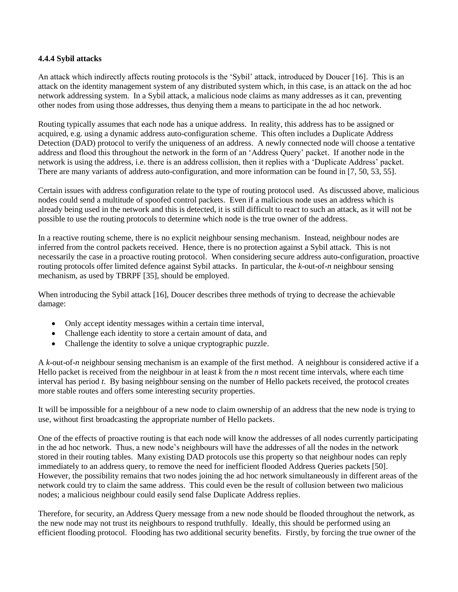#### **4.4.4 Sybil attacks**

An attack which indirectly affects routing protocols is the 'Sybil' attack, introduced by Doucer [16]. This is an attack on the identity management system of any distributed system which, in this case, is an attack on the ad hoc network addressing system. In a Sybil attack, a malicious node claims as many addresses as it can, preventing other nodes from using those addresses, thus denying them a means to participate in the ad hoc network.

Routing typically assumes that each node has a unique address. In reality, this address has to be assigned or acquired, e.g. using a dynamic address auto-configuration scheme. This often includes a Duplicate Address Detection (DAD) protocol to verify the uniqueness of an address. A newly connected node will choose a tentative address and flood this throughout the network in the form of an 'Address Query' packet. If another node in the network is using the address, i.e. there is an address collision, then it replies with a 'Duplicate Address' packet. There are many variants of address auto-configuration, and more information can be found in [7, 50, 53, 55].

Certain issues with address configuration relate to the type of routing protocol used. As discussed above, malicious nodes could send a multitude of spoofed control packets. Even if a malicious node uses an address which is already being used in the network and this is detected, it is still difficult to react to such an attack, as it will not be possible to use the routing protocols to determine which node is the true owner of the address.

In a reactive routing scheme, there is no explicit neighbour sensing mechanism. Instead, neighbour nodes are inferred from the control packets received. Hence, there is no protection against a Sybil attack. This is not necessarily the case in a proactive routing protocol. When considering secure address auto-configuration, proactive routing protocols offer limited defence against Sybil attacks. In particular, the *k*-out-of-*n* neighbour sensing mechanism, as used by TBRPF [35], should be employed.

When introducing the Sybil attack [16], Doucer describes three methods of trying to decrease the achievable damage:

- Only accept identity messages within a certain time interval,
- Challenge each identity to store a certain amount of data, and
- Challenge the identity to solve a unique cryptographic puzzle.

A *k*-out-of-*n* neighbour sensing mechanism is an example of the first method. A neighbour is considered active if a Hello packet is received from the neighbour in at least *k* from the *n* most recent time intervals, where each time interval has period *t*. By basing neighbour sensing on the number of Hello packets received, the protocol creates more stable routes and offers some interesting security properties.

It will be impossible for a neighbour of a new node to claim ownership of an address that the new node is trying to use, without first broadcasting the appropriate number of Hello packets.

One of the effects of proactive routing is that each node will know the addresses of all nodes currently participating in the ad hoc network. Thus, a new node's neighbours will have the addresses of all the nodes in the network stored in their routing tables. Many existing DAD protocols use this property so that neighbour nodes can reply immediately to an address query, to remove the need for inefficient flooded Address Queries packets [50]. However, the possibility remains that two nodes joining the ad hoc network simultaneously in different areas of the network could try to claim the same address. This could even be the result of collusion between two malicious nodes; a malicious neighbour could easily send false Duplicate Address replies.

Therefore, for security, an Address Query message from a new node should be flooded throughout the network, as the new node may not trust its neighbours to respond truthfully. Ideally, this should be performed using an efficient flooding protocol. Flooding has two additional security benefits. Firstly, by forcing the true owner of the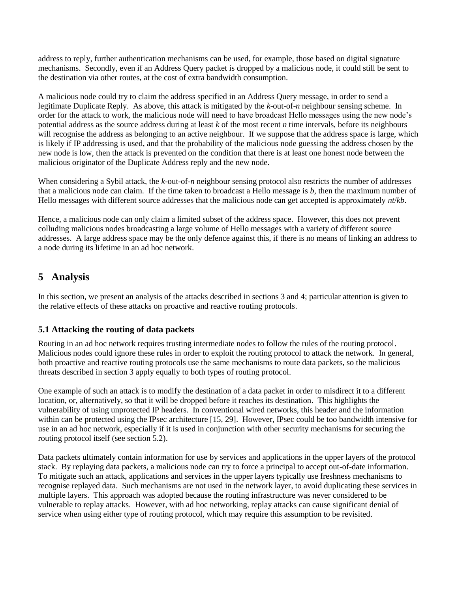address to reply, further authentication mechanisms can be used, for example, those based on digital signature mechanisms. Secondly, even if an Address Query packet is dropped by a malicious node, it could still be sent to the destination via other routes, at the cost of extra bandwidth consumption.

A malicious node could try to claim the address specified in an Address Query message, in order to send a legitimate Duplicate Reply. As above, this attack is mitigated by the *k*-out-of-*n* neighbour sensing scheme. In order for the attack to work, the malicious node will need to have broadcast Hello messages using the new node's potential address as the source address during at least *k* of the most recent *n* time intervals, before its neighbours will recognise the address as belonging to an active neighbour. If we suppose that the address space is large, which is likely if IP addressing is used, and that the probability of the malicious node guessing the address chosen by the new node is low, then the attack is prevented on the condition that there is at least one honest node between the malicious originator of the Duplicate Address reply and the new node.

When considering a Sybil attack, the *k*-out-of-*n* neighbour sensing protocol also restricts the number of addresses that a malicious node can claim. If the time taken to broadcast a Hello message is *b*, then the maximum number of Hello messages with different source addresses that the malicious node can get accepted is approximately *nt*/*kb*.

Hence, a malicious node can only claim a limited subset of the address space. However, this does not prevent colluding malicious nodes broadcasting a large volume of Hello messages with a variety of different source addresses. A large address space may be the only defence against this, if there is no means of linking an address to a node during its lifetime in an ad hoc network.

# **5 Analysis**

In this section, we present an analysis of the attacks described in sections 3 and 4; particular attention is given to the relative effects of these attacks on proactive and reactive routing protocols.

## **5.1 Attacking the routing of data packets**

Routing in an ad hoc network requires trusting intermediate nodes to follow the rules of the routing protocol. Malicious nodes could ignore these rules in order to exploit the routing protocol to attack the network. In general, both proactive and reactive routing protocols use the same mechanisms to route data packets, so the malicious threats described in section 3 apply equally to both types of routing protocol.

One example of such an attack is to modify the destination of a data packet in order to misdirect it to a different location, or, alternatively, so that it will be dropped before it reaches its destination. This highlights the vulnerability of using unprotected IP headers. In conventional wired networks, this header and the information within can be protected using the IPsec architecture [15, 29]. However, IPsec could be too bandwidth intensive for use in an ad hoc network, especially if it is used in conjunction with other security mechanisms for securing the routing protocol itself (see section 5.2).

Data packets ultimately contain information for use by services and applications in the upper layers of the protocol stack. By replaying data packets, a malicious node can try to force a principal to accept out-of-date information. To mitigate such an attack, applications and services in the upper layers typically use freshness mechanisms to recognise replayed data. Such mechanisms are not used in the network layer, to avoid duplicating these services in multiple layers. This approach was adopted because the routing infrastructure was never considered to be vulnerable to replay attacks. However, with ad hoc networking, replay attacks can cause significant denial of service when using either type of routing protocol, which may require this assumption to be revisited.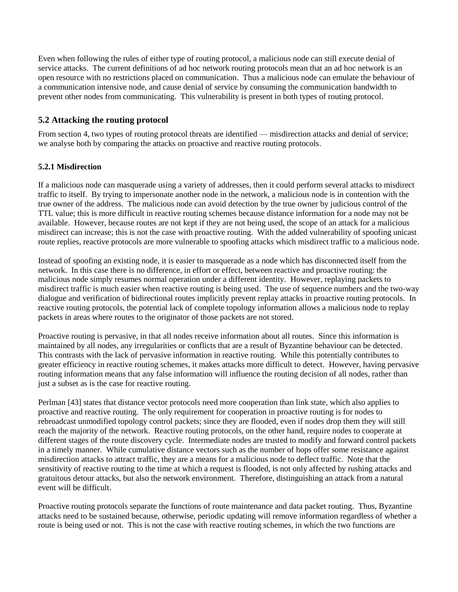Even when following the rules of either type of routing protocol, a malicious node can still execute denial of service attacks. The current definitions of ad hoc network routing protocols mean that an ad hoc network is an open resource with no restrictions placed on communication. Thus a malicious node can emulate the behaviour of a communication intensive node, and cause denial of service by consuming the communication bandwidth to prevent other nodes from communicating. This vulnerability is present in both types of routing protocol.

### **5.2 Attacking the routing protocol**

From section 4, two types of routing protocol threats are identified — misdirection attacks and denial of service; we analyse both by comparing the attacks on proactive and reactive routing protocols.

### **5.2.1 Misdirection**

If a malicious node can masquerade using a variety of addresses, then it could perform several attacks to misdirect traffic to itself. By trying to impersonate another node in the network, a malicious node is in contention with the true owner of the address. The malicious node can avoid detection by the true owner by judicious control of the TTL value; this is more difficult in reactive routing schemes because distance information for a node may not be available. However, because routes are not kept if they are not being used, the scope of an attack for a malicious misdirect can increase; this is not the case with proactive routing. With the added vulnerability of spoofing unicast route replies, reactive protocols are more vulnerable to spoofing attacks which misdirect traffic to a malicious node.

Instead of spoofing an existing node, it is easier to masquerade as a node which has disconnected itself from the network. In this case there is no difference, in effort or effect, between reactive and proactive routing: the malicious node simply resumes normal operation under a different identity. However, replaying packets to misdirect traffic is much easier when reactive routing is being used. The use of sequence numbers and the two-way dialogue and verification of bidirectional routes implicitly prevent replay attacks in proactive routing protocols. In reactive routing protocols, the potential lack of complete topology information allows a malicious node to replay packets in areas where routes to the originator of those packets are not stored.

Proactive routing is pervasive, in that all nodes receive information about all routes. Since this information is maintained by all nodes, any irregularities or conflicts that are a result of Byzantine behaviour can be detected. This contrasts with the lack of pervasive information in reactive routing. While this potentially contributes to greater efficiency in reactive routing schemes, it makes attacks more difficult to detect. However, having pervasive routing information means that any false information will influence the routing decision of all nodes, rather than just a subset as is the case for reactive routing.

Perlman [43] states that distance vector protocols need more cooperation than link state, which also applies to proactive and reactive routing. The only requirement for cooperation in proactive routing is for nodes to rebroadcast unmodified topology control packets; since they are flooded, even if nodes drop them they will still reach the majority of the network. Reactive routing protocols, on the other hand, require nodes to cooperate at different stages of the route discovery cycle. Intermediate nodes are trusted to modify and forward control packets in a timely manner. While cumulative distance vectors such as the number of hops offer some resistance against misdirection attacks to attract traffic, they are a means for a malicious node to deflect traffic. Note that the sensitivity of reactive routing to the time at which a request is flooded, is not only affected by rushing attacks and gratuitous detour attacks, but also the network environment. Therefore, distinguishing an attack from a natural event will be difficult.

Proactive routing protocols separate the functions of route maintenance and data packet routing. Thus, Byzantine attacks need to be sustained because, otherwise, periodic updating will remove information regardless of whether a route is being used or not. This is not the case with reactive routing schemes, in which the two functions are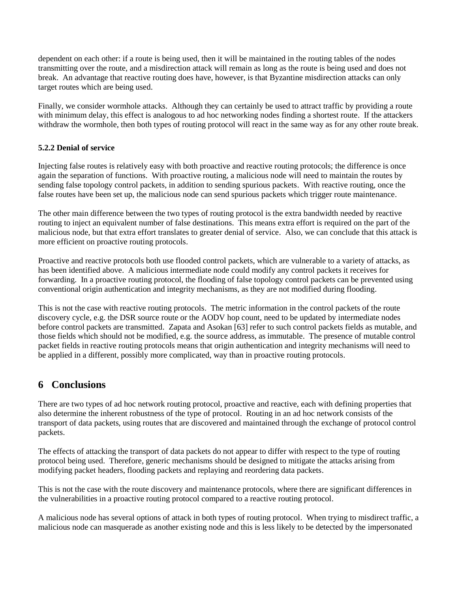dependent on each other: if a route is being used, then it will be maintained in the routing tables of the nodes transmitting over the route, and a misdirection attack will remain as long as the route is being used and does not break. An advantage that reactive routing does have, however, is that Byzantine misdirection attacks can only target routes which are being used.

Finally, we consider wormhole attacks. Although they can certainly be used to attract traffic by providing a route with minimum delay, this effect is analogous to ad hoc networking nodes finding a shortest route. If the attackers withdraw the wormhole, then both types of routing protocol will react in the same way as for any other route break.

#### **5.2.2 Denial of service**

Injecting false routes is relatively easy with both proactive and reactive routing protocols; the difference is once again the separation of functions. With proactive routing, a malicious node will need to maintain the routes by sending false topology control packets, in addition to sending spurious packets. With reactive routing, once the false routes have been set up, the malicious node can send spurious packets which trigger route maintenance.

The other main difference between the two types of routing protocol is the extra bandwidth needed by reactive routing to inject an equivalent number of false destinations. This means extra effort is required on the part of the malicious node, but that extra effort translates to greater denial of service. Also, we can conclude that this attack is more efficient on proactive routing protocols.

Proactive and reactive protocols both use flooded control packets, which are vulnerable to a variety of attacks, as has been identified above. A malicious intermediate node could modify any control packets it receives for forwarding. In a proactive routing protocol, the flooding of false topology control packets can be prevented using conventional origin authentication and integrity mechanisms, as they are not modified during flooding.

This is not the case with reactive routing protocols. The metric information in the control packets of the route discovery cycle, e.g. the DSR source route or the AODV hop count, need to be updated by intermediate nodes before control packets are transmitted. Zapata and Asokan [63] refer to such control packets fields as mutable, and those fields which should not be modified, e.g. the source address, as immutable. The presence of mutable control packet fields in reactive routing protocols means that origin authentication and integrity mechanisms will need to be applied in a different, possibly more complicated, way than in proactive routing protocols.

## **6 Conclusions**

There are two types of ad hoc network routing protocol, proactive and reactive, each with defining properties that also determine the inherent robustness of the type of protocol. Routing in an ad hoc network consists of the transport of data packets, using routes that are discovered and maintained through the exchange of protocol control packets.

The effects of attacking the transport of data packets do not appear to differ with respect to the type of routing protocol being used. Therefore, generic mechanisms should be designed to mitigate the attacks arising from modifying packet headers, flooding packets and replaying and reordering data packets.

This is not the case with the route discovery and maintenance protocols, where there are significant differences in the vulnerabilities in a proactive routing protocol compared to a reactive routing protocol.

A malicious node has several options of attack in both types of routing protocol. When trying to misdirect traffic, a malicious node can masquerade as another existing node and this is less likely to be detected by the impersonated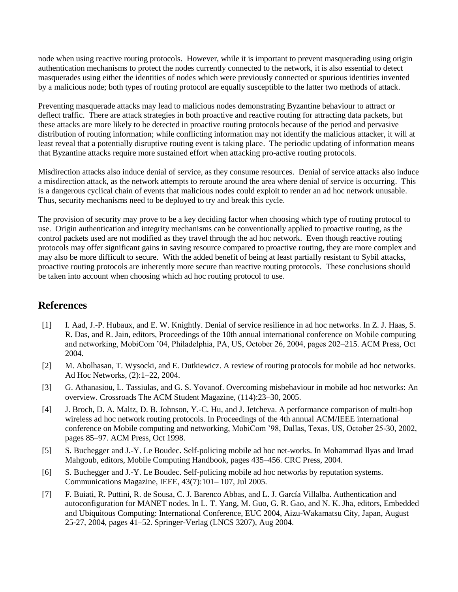node when using reactive routing protocols. However, while it is important to prevent masquerading using origin authentication mechanisms to protect the nodes currently connected to the network, it is also essential to detect masquerades using either the identities of nodes which were previously connected or spurious identities invented by a malicious node; both types of routing protocol are equally susceptible to the latter two methods of attack.

Preventing masquerade attacks may lead to malicious nodes demonstrating Byzantine behaviour to attract or deflect traffic. There are attack strategies in both proactive and reactive routing for attracting data packets, but these attacks are more likely to be detected in proactive routing protocols because of the period and pervasive distribution of routing information; while conflicting information may not identify the malicious attacker, it will at least reveal that a potentially disruptive routing event is taking place. The periodic updating of information means that Byzantine attacks require more sustained effort when attacking pro-active routing protocols.

Misdirection attacks also induce denial of service, as they consume resources. Denial of service attacks also induce a misdirection attack, as the network attempts to reroute around the area where denial of service is occurring. This is a dangerous cyclical chain of events that malicious nodes could exploit to render an ad hoc network unusable. Thus, security mechanisms need to be deployed to try and break this cycle.

The provision of security may prove to be a key deciding factor when choosing which type of routing protocol to use. Origin authentication and integrity mechanisms can be conventionally applied to proactive routing, as the control packets used are not modified as they travel through the ad hoc network. Even though reactive routing protocols may offer significant gains in saving resource compared to proactive routing, they are more complex and may also be more difficult to secure. With the added benefit of being at least partially resistant to Sybil attacks, proactive routing protocols are inherently more secure than reactive routing protocols. These conclusions should be taken into account when choosing which ad hoc routing protocol to use.

# **References**

- [1] I. Aad, J.-P. Hubaux, and E. W. Knightly. Denial of service resilience in ad hoc networks. In Z. J. Haas, S. R. Das, and R. Jain, editors, Proceedings of the 10th annual international conference on Mobile computing and networking, MobiCom '04, Philadelphia, PA, US, October 26, 2004, pages 202–215. ACM Press, Oct 2004.
- [2] M. Abolhasan, T. Wysocki, and E. Dutkiewicz. A review of routing protocols for mobile ad hoc networks. Ad Hoc Networks, (2):1–22, 2004.
- [3] G. Athanasiou, L. Tassiulas, and G. S. Yovanof. Overcoming misbehaviour in mobile ad hoc networks: An overview. Crossroads The ACM Student Magazine, (114):23–30, 2005.
- [4] J. Broch, D. A. Maltz, D. B. Johnson, Y.-C. Hu, and J. Jetcheva. A performance comparison of multi-hop wireless ad hoc network routing protocols. In Proceedings of the 4th annual ACM/IEEE international conference on Mobile computing and networking, MobiCom '98, Dallas, Texas, US, October 25-30, 2002, pages 85–97. ACM Press, Oct 1998.
- [5] S. Buchegger and J.-Y. Le Boudec. Self-policing mobile ad hoc net-works. In Mohammad Ilyas and Imad Mahgoub, editors, Mobile Computing Handbook, pages 435–456. CRC Press, 2004.
- [6] S. Buchegger and J.-Y. Le Boudec. Self-policing mobile ad hoc networks by reputation systems. Communications Magazine, IEEE, 43(7):101– 107, Jul 2005.
- [7] F. Buiati, R. Puttini, R. de Sousa, C. J. Barenco Abbas, and L. J. García Villalba. Authentication and autoconfiguration for MANET nodes. In L. T. Yang, M. Guo, G. R. Gao, and N. K. Jha, editors, Embedded and Ubiquitous Computing: International Conference, EUC 2004, Aizu-Wakamatsu City, Japan, August 25-27, 2004, pages 41–52. Springer-Verlag (LNCS 3207), Aug 2004.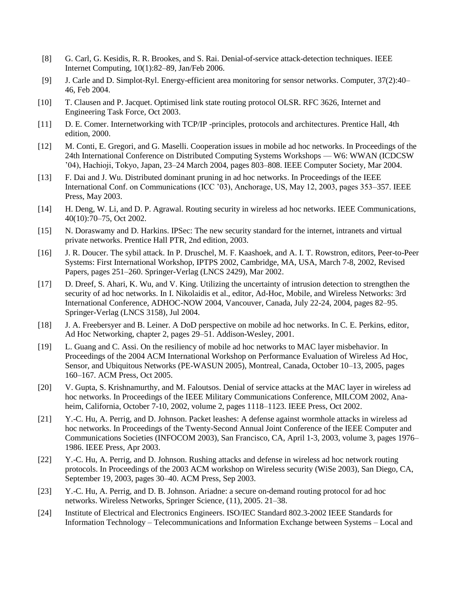- [8] G. Carl, G. Kesidis, R. R. Brookes, and S. Rai. Denial-of-service attack-detection techniques. IEEE Internet Computing, 10(1):82–89, Jan/Feb 2006.
- [9] J. Carle and D. Simplot-Ryl. Energy-efficient area monitoring for sensor networks. Computer, 37(2):40– 46, Feb 2004.
- [10] T. Clausen and P. Jacquet. Optimised link state routing protocol OLSR. RFC 3626, Internet and Engineering Task Force, Oct 2003.
- [11] D. E. Comer. Internetworking with TCP/IP -principles, protocols and architectures. Prentice Hall, 4th edition, 2000.
- [12] M. Conti, E. Gregori, and G. Maselli. Cooperation issues in mobile ad hoc networks. In Proceedings of the 24th International Conference on Distributed Computing Systems Workshops — W6: WWAN (ICDCSW '04), Hachioji, Tokyo, Japan, 23–24 March 2004, pages 803–808. IEEE Computer Society, Mar 2004.
- [13] F. Dai and J. Wu. Distributed dominant pruning in ad hoc networks. In Proceedings of the IEEE International Conf. on Communications (ICC '03), Anchorage, US, May 12, 2003, pages 353–357. IEEE Press, May 2003.
- [14] H. Deng, W. Li, and D. P. Agrawal. Routing security in wireless ad hoc networks. IEEE Communications, 40(10):70–75, Oct 2002.
- [15] N. Doraswamy and D. Harkins. IPSec: The new security standard for the internet, intranets and virtual private networks. Prentice Hall PTR, 2nd edition, 2003.
- [16] J. R. Doucer. The sybil attack. In P. Druschel, M. F. Kaashoek, and A. I. T. Rowstron, editors, Peer-to-Peer Systems: First International Workshop, IPTPS 2002, Cambridge, MA, USA, March 7-8, 2002, Revised Papers, pages 251–260. Springer-Verlag (LNCS 2429), Mar 2002.
- [17] D. Dreef, S. Ahari, K. Wu, and V. King. Utilizing the uncertainty of intrusion detection to strengthen the security of ad hoc networks. In I. Nikolaidis et al., editor, Ad-Hoc, Mobile, and Wireless Networks: 3rd International Conference, ADHOC-NOW 2004, Vancouver, Canada, July 22-24, 2004, pages 82–95. Springer-Verlag (LNCS 3158), Jul 2004.
- [18] J. A. Freebersyer and B. Leiner. A DoD perspective on mobile ad hoc networks. In C. E. Perkins, editor, Ad Hoc Networking, chapter 2, pages 29–51. Addison-Wesley, 2001.
- [19] L. Guang and C. Assi. On the resiliency of mobile ad hoc networks to MAC layer misbehavior. In Proceedings of the 2004 ACM International Workshop on Performance Evaluation of Wireless Ad Hoc, Sensor, and Ubiquitous Networks (PE-WASUN 2005), Montreal, Canada, October 10–13, 2005, pages 160–167. ACM Press, Oct 2005.
- [20] V. Gupta, S. Krishnamurthy, and M. Faloutsos. Denial of service attacks at the MAC layer in wireless ad hoc networks. In Proceedings of the IEEE Military Communications Conference, MILCOM 2002, Anaheim, California, October 7-10, 2002, volume 2, pages 1118–1123. IEEE Press, Oct 2002.
- [21] Y.-C. Hu, A. Perrig, and D. Johnson. Packet leashes: A defense against wormhole attacks in wireless ad hoc networks. In Proceedings of the Twenty-Second Annual Joint Conference of the IEEE Computer and Communications Societies (INFOCOM 2003), San Francisco, CA, April 1-3, 2003, volume 3, pages 1976– 1986. IEEE Press, Apr 2003.
- [22] Y.-C. Hu, A. Perrig, and D. Johnson. Rushing attacks and defense in wireless ad hoc network routing protocols. In Proceedings of the 2003 ACM workshop on Wireless security (WiSe 2003), San Diego, CA, September 19, 2003, pages 30–40. ACM Press, Sep 2003.
- [23] Y.-C. Hu, A. Perrig, and D. B. Johnson. Ariadne: a secure on-demand routing protocol for ad hoc networks. Wireless Networks, Springer Science, (11), 2005. 21–38.
- [24] Institute of Electrical and Electronics Engineers. ISO/IEC Standard 802.3-2002 IEEE Standards for Information Technology – Telecommunications and Information Exchange between Systems – Local and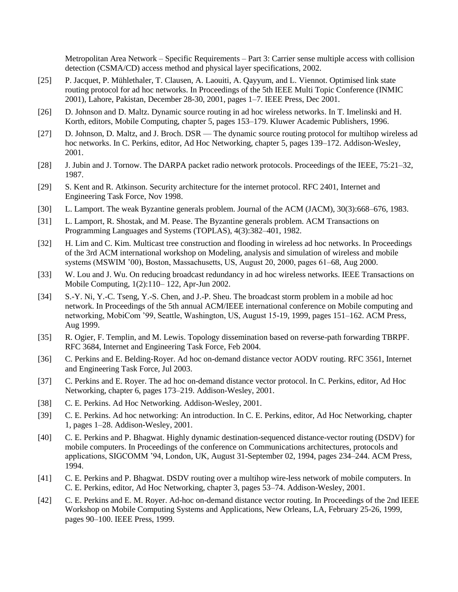Metropolitan Area Network – Specific Requirements – Part 3: Carrier sense multiple access with collision detection (CSMA/CD) access method and physical layer specifications, 2002.

- [25] P. Jacquet, P. Mühlethaler, T. Clausen, A. Laouiti, A. Qayyum, and L. Viennot. Optimised link state routing protocol for ad hoc networks. In Proceedings of the 5th IEEE Multi Topic Conference (INMIC 2001), Lahore, Pakistan, December 28-30, 2001, pages 1–7. IEEE Press, Dec 2001.
- [26] D. Johnson and D. Maltz. Dynamic source routing in ad hoc wireless networks. In T. Imelinski and H. Korth, editors, Mobile Computing, chapter 5, pages 153–179. Kluwer Academic Publishers, 1996.
- [27] D. Johnson, D. Maltz, and J. Broch. DSR The dynamic source routing protocol for multihop wireless ad hoc networks. In C. Perkins, editor, Ad Hoc Networking, chapter 5, pages 139–172. Addison-Wesley, 2001.
- [28] J. Jubin and J. Tornow. The DARPA packet radio network protocols. Proceedings of the IEEE, 75:21–32, 1987.
- [29] S. Kent and R. Atkinson. Security architecture for the internet protocol. RFC 2401, Internet and Engineering Task Force, Nov 1998.
- [30] L. Lamport. The weak Byzantine generals problem. Journal of the ACM (JACM), 30(3):668–676, 1983.
- [31] L. Lamport, R. Shostak, and M. Pease. The Byzantine generals problem. ACM Transactions on Programming Languages and Systems (TOPLAS), 4(3):382–401, 1982.
- [32] H. Lim and C. Kim. Multicast tree construction and flooding in wireless ad hoc networks. In Proceedings of the 3rd ACM international workshop on Modeling, analysis and simulation of wireless and mobile systems (MSWIM '00), Boston, Massachusetts, US, August 20, 2000, pages 61–68, Aug 2000.
- [33] W. Lou and J. Wu. On reducing broadcast redundancy in ad hoc wireless networks. IEEE Transactions on Mobile Computing, 1(2):110– 122, Apr-Jun 2002.
- [34] S.-Y. Ni, Y.-C. Tseng, Y.-S. Chen, and J.-P. Sheu. The broadcast storm problem in a mobile ad hoc network. In Proceedings of the 5th annual ACM/IEEE international conference on Mobile computing and networking, MobiCom '99, Seattle, Washington, US, August 15-19, 1999, pages 151–162. ACM Press, Aug 1999.
- [35] R. Ogier, F. Templin, and M. Lewis. Topology dissemination based on reverse-path forwarding TBRPF. RFC 3684, Internet and Engineering Task Force, Feb 2004.
- [36] C. Perkins and E. Belding-Royer. Ad hoc on-demand distance vector AODV routing. RFC 3561, Internet and Engineering Task Force, Jul 2003.
- [37] C. Perkins and E. Royer. The ad hoc on-demand distance vector protocol. In C. Perkins, editor, Ad Hoc Networking, chapter 6, pages 173–219. Addison-Wesley, 2001.
- [38] C. E. Perkins. Ad Hoc Networking. Addison-Wesley, 2001.
- [39] C. E. Perkins. Ad hoc networking: An introduction. In C. E. Perkins, editor, Ad Hoc Networking, chapter 1, pages 1–28. Addison-Wesley, 2001.
- [40] C. E. Perkins and P. Bhagwat. Highly dynamic destination-sequenced distance-vector routing (DSDV) for mobile computers. In Proceedings of the conference on Communications architectures, protocols and applications, SIGCOMM '94, London, UK, August 31-September 02, 1994, pages 234–244. ACM Press, 1994.
- [41] C. E. Perkins and P. Bhagwat. DSDV routing over a multihop wire-less network of mobile computers. In C. E. Perkins, editor, Ad Hoc Networking, chapter 3, pages 53–74. Addison-Wesley, 2001.
- [42] C. E. Perkins and E. M. Royer. Ad-hoc on-demand distance vector routing. In Proceedings of the 2nd IEEE Workshop on Mobile Computing Systems and Applications, New Orleans, LA, February 25-26, 1999, pages 90–100. IEEE Press, 1999.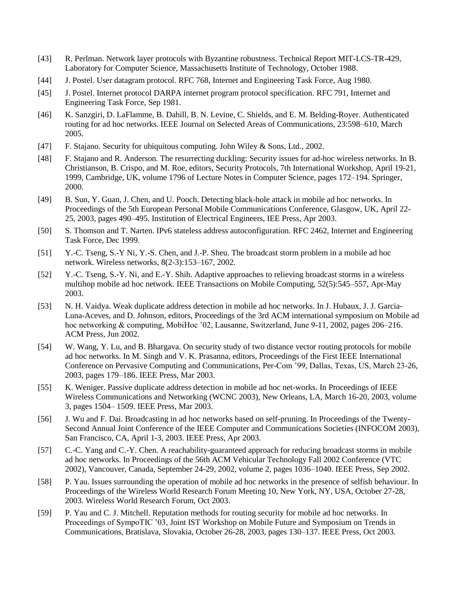- [43] R. Perlman. Network layer protocols with Byzantine robustness. Technical Report MIT-LCS-TR-429, Laboratory for Computer Science, Massachusetts Institute of Technology, October 1988.
- [44] J. Postel. User datagram protocol. RFC 768, Internet and Engineering Task Force, Aug 1980.
- [45] J. Postel. Internet protocol DARPA internet program protocol specification. RFC 791, Internet and Engineering Task Force, Sep 1981.
- [46] K. Sanzgiri, D. LaFlamme, B. Dahill, B. N. Levine, C. Shields, and E. M. Belding-Royer. Authenticated routing for ad hoc networks. IEEE Journal on Selected Areas of Communications, 23:598–610, March 2005.
- [47] F. Stajano. Security for ubiquitous computing. John Wiley & Sons, Ltd., 2002.
- [48] F. Stajano and R. Anderson. The resurrecting duckling: Security issues for ad-hoc wireless networks. In B. Christianson, B. Crispo, and M. Roe, editors, Security Protocols, 7th International Workshop, April 19-21, 1999, Cambridge, UK, volume 1796 of Lecture Notes in Computer Science, pages 172–194. Springer, 2000.
- [49] B. Sun, Y. Guan, J. Chen, and U. Pooch. Detecting black-hole attack in mobile ad hoc networks. In Proceedings of the 5th European Personal Mobile Communications Conference, Glasgow, UK, April 22- 25, 2003, pages 490–495. Institution of Electrical Engineers, IEE Press, Apr 2003.
- [50] S. Thomson and T. Narten. IPv6 stateless address autoconfiguration. RFC 2462, Internet and Engineering Task Force, Dec 1999.
- [51] Y.-C. Tseng, S.-Y Ni, Y.-S. Chen, and J.-P. Sheu. The broadcast storm problem in a mobile ad hoc network. Wireless networks, 8(2-3):153–167, 2002.
- [52] Y.-C. Tseng, S.-Y. Ni, and E.-Y. Shih. Adaptive approaches to relieving broadcast storms in a wireless multihop mobile ad hoc network. IEEE Transactions on Mobile Computing, 52(5):545–557, Apr-May 2003.
- [53] N. H. Vaidya. Weak duplicate address detection in mobile ad hoc networks. In J. Hubaux, J. J. Garcia-Luna-Aceves, and D. Johnson, editors, Proceedings of the 3rd ACM international symposium on Mobile ad hoc networking & computing, MobiHoc '02, Lausanne, Switzerland, June 9-11, 2002, pages 206–216. ACM Press, Jun 2002.
- [54] W. Wang, Y. Lu, and B. Bhargava. On security study of two distance vector routing protocols for mobile ad hoc networks. In M. Singh and V. K. Prasanna, editors, Proceedings of the First IEEE International Conference on Pervasive Computing and Communications, Per-Com '99, Dallas, Texas, US, March 23-26, 2003, pages 179–186. IEEE Press, Mar 2003.
- [55] K. Weniger. Passive duplicate address detection in mobile ad hoc net-works. In Proceedings of IEEE Wireless Communications and Networking (WCNC 2003), New Orleans, LA, March 16-20, 2003, volume 3, pages 1504– 1509. IEEE Press, Mar 2003.
- [56] J. Wu and F. Dai. Broadcasting in ad hoc networks based on self-pruning. In Proceedings of the Twenty-Second Annual Joint Conference of the IEEE Computer and Communications Societies (INFOCOM 2003), San Francisco, CA, April 1-3, 2003. IEEE Press, Apr 2003.
- [57] C.-C. Yang and C.-Y. Chen. A reachability-guaranteed approach for reducing broadcast storms in mobile ad hoc networks. In Proceedings of the 56th ACM Vehicular Technology Fall 2002 Conference (VTC 2002), Vancouver, Canada, September 24-29, 2002, volume 2, pages 1036–1040. IEEE Press, Sep 2002.
- [58] P. Yau. Issues surrounding the operation of mobile ad hoc networks in the presence of selfish behaviour. In Proceedings of the Wireless World Research Forum Meeting 10, New York, NY, USA, October 27-28, 2003. Wireless World Research Forum, Oct 2003.
- [59] P. Yau and C. J. Mitchell. Reputation methods for routing security for mobile ad hoc networks. In Proceedings of SympoTIC '03, Joint IST Workshop on Mobile Future and Symposium on Trends in Communications, Bratislava, Slovakia, October 26-28, 2003, pages 130–137. IEEE Press, Oct 2003.